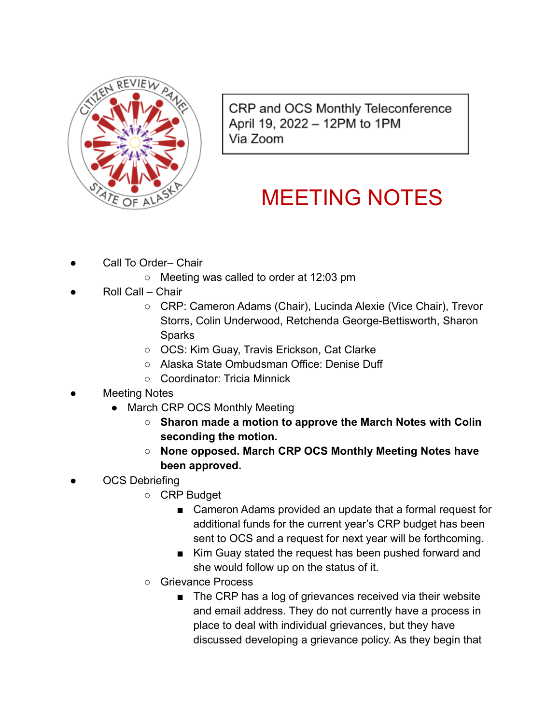

CRP and OCS Monthly Teleconference April 19, 2022 - 12PM to 1PM Via Zoom

## MEETING NOTES

- Call To Order– Chair
	- Meeting was called to order at 12:03 pm
- Roll Call Chair
	- CRP: Cameron Adams (Chair), Lucinda Alexie (Vice Chair), Trevor Storrs, Colin Underwood, Retchenda George-Bettisworth, Sharon Sparks
	- OCS: Kim Guay, Travis Erickson, Cat Clarke
	- Alaska State Ombudsman Office: Denise Duff
	- Coordinator: Tricia Minnick
- **Meeting Notes** 
	- March CRP OCS Monthly Meeting
		- **○ Sharon made a motion to approve the March Notes with Colin seconding the motion.**
		- **○ None opposed. March CRP OCS Monthly Meeting Notes have been approved.**
- OCS Debriefing
	- CRP Budget
		- Cameron Adams provided an update that a formal request for additional funds for the current year's CRP budget has been sent to OCS and a request for next year will be forthcoming.
		- Kim Guay stated the request has been pushed forward and she would follow up on the status of it.
	- Grievance Process
		- The CRP has a log of grievances received via their website and email address. They do not currently have a process in place to deal with individual grievances, but they have discussed developing a grievance policy. As they begin that